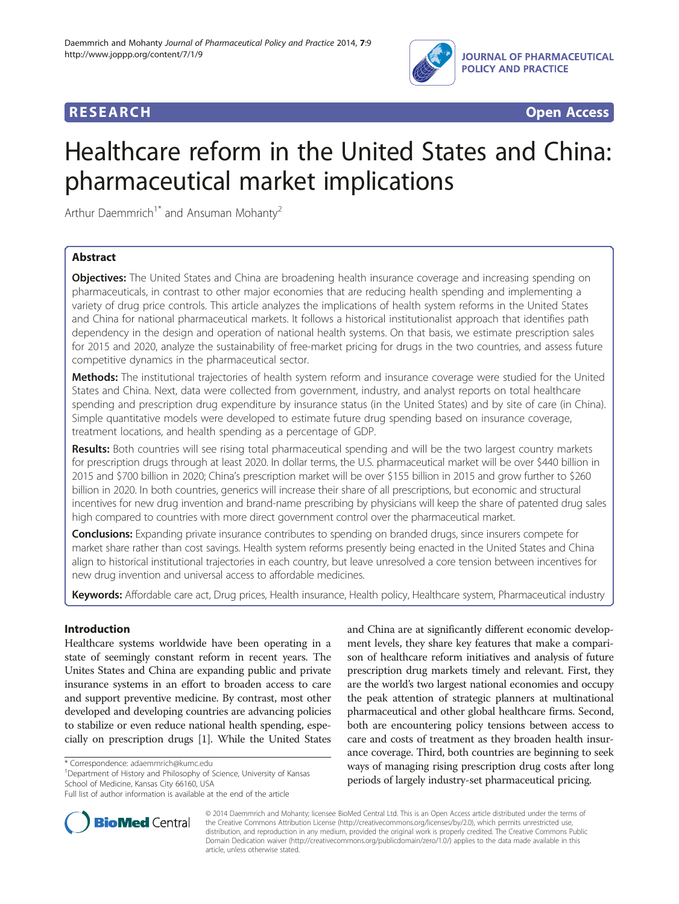

# **RESEARCH RESEARCH** *CHECK CHECK CHECK CHECK CHECK CHECK CHECK CHECK CHECK CHECK CHECK CHECK CHECK CHECK CHECK CHECK CHECK CHECK CHECK CHECK CHECK CHECK CHECK CHECK CHECK CHECK CHECK CHECK CHECK CHECK CHECK CHECK CHECK*

# Healthcare reform in the United States and China: pharmaceutical market implications

Arthur Daemmrich<sup>1\*</sup> and Ansuman Mohanty<sup>2</sup>

# Abstract

**Objectives:** The United States and China are broadening health insurance coverage and increasing spending on pharmaceuticals, in contrast to other major economies that are reducing health spending and implementing a variety of drug price controls. This article analyzes the implications of health system reforms in the United States and China for national pharmaceutical markets. It follows a historical institutionalist approach that identifies path dependency in the design and operation of national health systems. On that basis, we estimate prescription sales for 2015 and 2020, analyze the sustainability of free-market pricing for drugs in the two countries, and assess future competitive dynamics in the pharmaceutical sector.

Methods: The institutional trajectories of health system reform and insurance coverage were studied for the United States and China. Next, data were collected from government, industry, and analyst reports on total healthcare spending and prescription drug expenditure by insurance status (in the United States) and by site of care (in China). Simple quantitative models were developed to estimate future drug spending based on insurance coverage, treatment locations, and health spending as a percentage of GDP.

Results: Both countries will see rising total pharmaceutical spending and will be the two largest country markets for prescription drugs through at least 2020. In dollar terms, the U.S. pharmaceutical market will be over \$440 billion in 2015 and \$700 billion in 2020; China's prescription market will be over \$155 billion in 2015 and grow further to \$260 billion in 2020. In both countries, generics will increase their share of all prescriptions, but economic and structural incentives for new drug invention and brand-name prescribing by physicians will keep the share of patented drug sales high compared to countries with more direct government control over the pharmaceutical market.

**Conclusions:** Expanding private insurance contributes to spending on branded drugs, since insurers compete for market share rather than cost savings. Health system reforms presently being enacted in the United States and China align to historical institutional trajectories in each country, but leave unresolved a core tension between incentives for new drug invention and universal access to affordable medicines.

Keywords: Affordable care act, Drug prices, Health insurance, Health policy, Healthcare system, Pharmaceutical industry

# Introduction

Healthcare systems worldwide have been operating in a state of seemingly constant reform in recent years. The Unites States and China are expanding public and private insurance systems in an effort to broaden access to care and support preventive medicine. By contrast, most other developed and developing countries are advancing policies to stabilize or even reduce national health spending, especially on prescription drugs [[1\]](#page-12-0). While the United States

<sup>1</sup>Department of History and Philosophy of Science, University of Kansas School of Medicine, Kansas City 66160, USA

and China are at significantly different economic development levels, they share key features that make a comparison of healthcare reform initiatives and analysis of future prescription drug markets timely and relevant. First, they are the world's two largest national economies and occupy the peak attention of strategic planners at multinational pharmaceutical and other global healthcare firms. Second, both are encountering policy tensions between access to care and costs of treatment as they broaden health insurance coverage. Third, both countries are beginning to seek ways of managing rising prescription drug costs after long periods of largely industry-set pharmaceutical pricing.



© 2014 Daemmrich and Mohanty; licensee BioMed Central Ltd. This is an Open Access article distributed under the terms of the Creative Commons Attribution License [\(http://creativecommons.org/licenses/by/2.0\)](http://creativecommons.org/licenses/by/2.0), which permits unrestricted use, distribution, and reproduction in any medium, provided the original work is properly credited. The Creative Commons Public Domain Dedication waiver [\(http://creativecommons.org/publicdomain/zero/1.0/\)](http://creativecommons.org/publicdomain/zero/1.0/) applies to the data made available in this article, unless otherwise stated.

<sup>\*</sup> Correspondence: [adaemmrich@kumc.edu](mailto:adaemmrich@kumc.edu) <sup>1</sup>

Full list of author information is available at the end of the article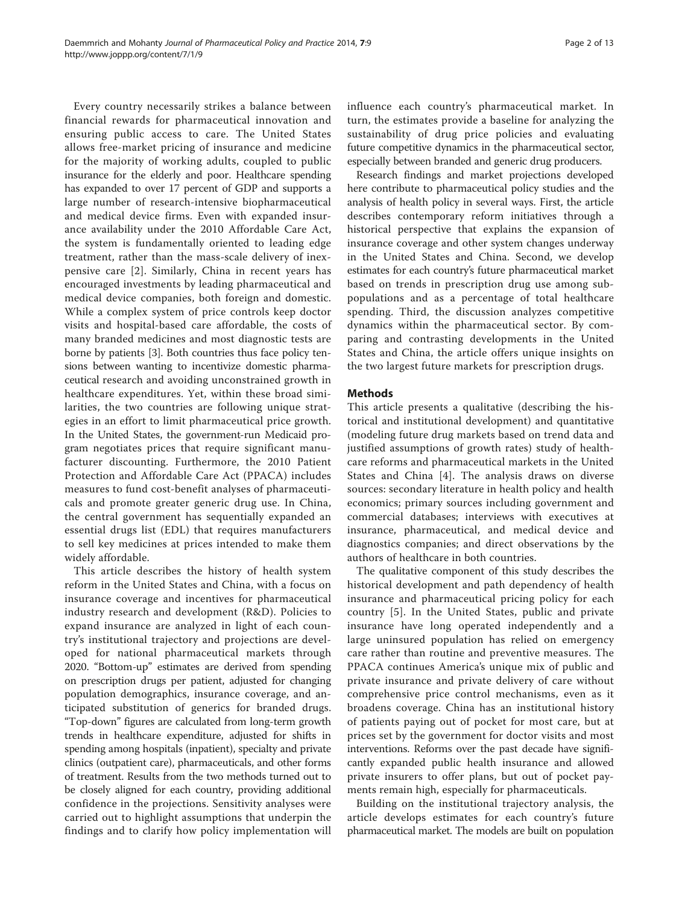Every country necessarily strikes a balance between financial rewards for pharmaceutical innovation and ensuring public access to care. The United States allows free-market pricing of insurance and medicine for the majority of working adults, coupled to public insurance for the elderly and poor. Healthcare spending has expanded to over 17 percent of GDP and supports a large number of research-intensive biopharmaceutical and medical device firms. Even with expanded insurance availability under the 2010 Affordable Care Act, the system is fundamentally oriented to leading edge treatment, rather than the mass-scale delivery of inexpensive care [[2](#page-12-0)]. Similarly, China in recent years has encouraged investments by leading pharmaceutical and medical device companies, both foreign and domestic. While a complex system of price controls keep doctor visits and hospital-based care affordable, the costs of many branded medicines and most diagnostic tests are borne by patients [\[3](#page-12-0)]. Both countries thus face policy tensions between wanting to incentivize domestic pharmaceutical research and avoiding unconstrained growth in healthcare expenditures. Yet, within these broad similarities, the two countries are following unique strategies in an effort to limit pharmaceutical price growth. In the United States, the government-run Medicaid program negotiates prices that require significant manufacturer discounting. Furthermore, the 2010 Patient Protection and Affordable Care Act (PPACA) includes

measures to fund cost-benefit analyses of pharmaceuticals and promote greater generic drug use. In China, the central government has sequentially expanded an essential drugs list (EDL) that requires manufacturers to sell key medicines at prices intended to make them widely affordable.

This article describes the history of health system reform in the United States and China, with a focus on insurance coverage and incentives for pharmaceutical industry research and development (R&D). Policies to expand insurance are analyzed in light of each country's institutional trajectory and projections are developed for national pharmaceutical markets through 2020. "Bottom-up" estimates are derived from spending on prescription drugs per patient, adjusted for changing population demographics, insurance coverage, and anticipated substitution of generics for branded drugs. "Top-down" figures are calculated from long-term growth trends in healthcare expenditure, adjusted for shifts in spending among hospitals (inpatient), specialty and private clinics (outpatient care), pharmaceuticals, and other forms of treatment. Results from the two methods turned out to be closely aligned for each country, providing additional confidence in the projections. Sensitivity analyses were carried out to highlight assumptions that underpin the findings and to clarify how policy implementation will influence each country's pharmaceutical market. In turn, the estimates provide a baseline for analyzing the sustainability of drug price policies and evaluating future competitive dynamics in the pharmaceutical sector, especially between branded and generic drug producers.

Research findings and market projections developed here contribute to pharmaceutical policy studies and the analysis of health policy in several ways. First, the article describes contemporary reform initiatives through a historical perspective that explains the expansion of insurance coverage and other system changes underway in the United States and China. Second, we develop estimates for each country's future pharmaceutical market based on trends in prescription drug use among subpopulations and as a percentage of total healthcare spending. Third, the discussion analyzes competitive dynamics within the pharmaceutical sector. By comparing and contrasting developments in the United States and China, the article offers unique insights on the two largest future markets for prescription drugs.

# **Methods**

This article presents a qualitative (describing the historical and institutional development) and quantitative (modeling future drug markets based on trend data and justified assumptions of growth rates) study of healthcare reforms and pharmaceutical markets in the United States and China [[4\]](#page-12-0). The analysis draws on diverse sources: secondary literature in health policy and health economics; primary sources including government and commercial databases; interviews with executives at insurance, pharmaceutical, and medical device and diagnostics companies; and direct observations by the authors of healthcare in both countries.

The qualitative component of this study describes the historical development and path dependency of health insurance and pharmaceutical pricing policy for each country [\[5\]](#page-12-0). In the United States, public and private insurance have long operated independently and a large uninsured population has relied on emergency care rather than routine and preventive measures. The PPACA continues America's unique mix of public and private insurance and private delivery of care without comprehensive price control mechanisms, even as it broadens coverage. China has an institutional history of patients paying out of pocket for most care, but at prices set by the government for doctor visits and most interventions. Reforms over the past decade have significantly expanded public health insurance and allowed private insurers to offer plans, but out of pocket payments remain high, especially for pharmaceuticals.

Building on the institutional trajectory analysis, the article develops estimates for each country's future pharmaceutical market. The models are built on population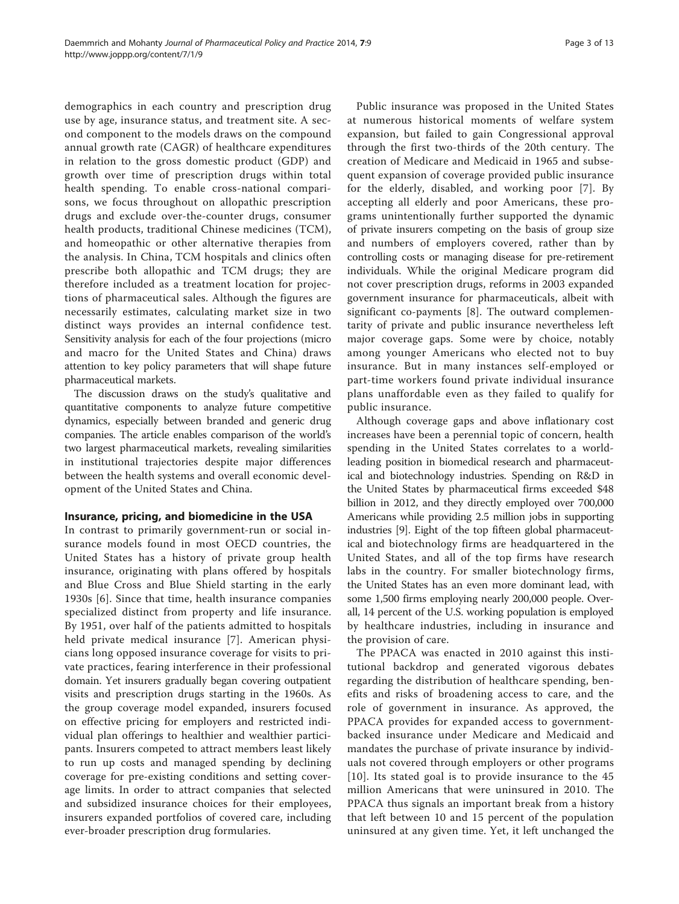demographics in each country and prescription drug use by age, insurance status, and treatment site. A second component to the models draws on the compound annual growth rate (CAGR) of healthcare expenditures in relation to the gross domestic product (GDP) and growth over time of prescription drugs within total health spending. To enable cross-national comparisons, we focus throughout on allopathic prescription drugs and exclude over-the-counter drugs, consumer health products, traditional Chinese medicines (TCM), and homeopathic or other alternative therapies from the analysis. In China, TCM hospitals and clinics often prescribe both allopathic and TCM drugs; they are therefore included as a treatment location for projections of pharmaceutical sales. Although the figures are necessarily estimates, calculating market size in two distinct ways provides an internal confidence test. Sensitivity analysis for each of the four projections (micro and macro for the United States and China) draws attention to key policy parameters that will shape future pharmaceutical markets.

The discussion draws on the study's qualitative and quantitative components to analyze future competitive dynamics, especially between branded and generic drug companies. The article enables comparison of the world's two largest pharmaceutical markets, revealing similarities in institutional trajectories despite major differences between the health systems and overall economic development of the United States and China.

# Insurance, pricing, and biomedicine in the USA

In contrast to primarily government-run or social insurance models found in most OECD countries, the United States has a history of private group health insurance, originating with plans offered by hospitals and Blue Cross and Blue Shield starting in the early 1930s [[6\]](#page-12-0). Since that time, health insurance companies specialized distinct from property and life insurance. By 1951, over half of the patients admitted to hospitals held private medical insurance [\[7](#page-12-0)]. American physicians long opposed insurance coverage for visits to private practices, fearing interference in their professional domain. Yet insurers gradually began covering outpatient visits and prescription drugs starting in the 1960s. As the group coverage model expanded, insurers focused on effective pricing for employers and restricted individual plan offerings to healthier and wealthier participants. Insurers competed to attract members least likely to run up costs and managed spending by declining coverage for pre-existing conditions and setting coverage limits. In order to attract companies that selected and subsidized insurance choices for their employees, insurers expanded portfolios of covered care, including ever-broader prescription drug formularies.

Public insurance was proposed in the United States at numerous historical moments of welfare system expansion, but failed to gain Congressional approval through the first two-thirds of the 20th century. The creation of Medicare and Medicaid in 1965 and subsequent expansion of coverage provided public insurance for the elderly, disabled, and working poor [[7\]](#page-12-0). By accepting all elderly and poor Americans, these programs unintentionally further supported the dynamic of private insurers competing on the basis of group size and numbers of employers covered, rather than by controlling costs or managing disease for pre-retirement individuals. While the original Medicare program did not cover prescription drugs, reforms in 2003 expanded government insurance for pharmaceuticals, albeit with significant co-payments [\[8](#page-12-0)]. The outward complementarity of private and public insurance nevertheless left major coverage gaps. Some were by choice, notably among younger Americans who elected not to buy insurance. But in many instances self-employed or part-time workers found private individual insurance plans unaffordable even as they failed to qualify for public insurance.

Although coverage gaps and above inflationary cost increases have been a perennial topic of concern, health spending in the United States correlates to a worldleading position in biomedical research and pharmaceutical and biotechnology industries. Spending on R&D in the United States by pharmaceutical firms exceeded \$48 billion in 2012, and they directly employed over 700,000 Americans while providing 2.5 million jobs in supporting industries [\[9\]](#page-12-0). Eight of the top fifteen global pharmaceutical and biotechnology firms are headquartered in the United States, and all of the top firms have research labs in the country. For smaller biotechnology firms, the United States has an even more dominant lead, with some 1,500 firms employing nearly 200,000 people. Overall, 14 percent of the U.S. working population is employed by healthcare industries, including in insurance and the provision of care.

The PPACA was enacted in 2010 against this institutional backdrop and generated vigorous debates regarding the distribution of healthcare spending, benefits and risks of broadening access to care, and the role of government in insurance. As approved, the PPACA provides for expanded access to governmentbacked insurance under Medicare and Medicaid and mandates the purchase of private insurance by individuals not covered through employers or other programs [[10](#page-12-0)]. Its stated goal is to provide insurance to the 45 million Americans that were uninsured in 2010. The PPACA thus signals an important break from a history that left between 10 and 15 percent of the population uninsured at any given time. Yet, it left unchanged the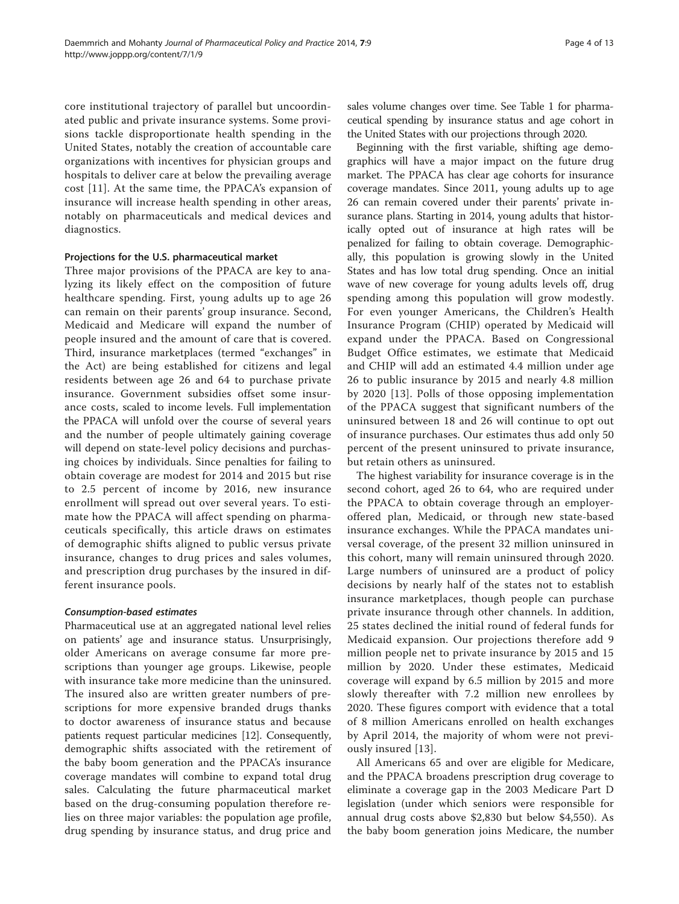core institutional trajectory of parallel but uncoordinated public and private insurance systems. Some provisions tackle disproportionate health spending in the United States, notably the creation of accountable care organizations with incentives for physician groups and hospitals to deliver care at below the prevailing average cost [[11\]](#page-12-0). At the same time, the PPACA's expansion of insurance will increase health spending in other areas, notably on pharmaceuticals and medical devices and diagnostics.

#### Projections for the U.S. pharmaceutical market

Three major provisions of the PPACA are key to analyzing its likely effect on the composition of future healthcare spending. First, young adults up to age 26 can remain on their parents' group insurance. Second, Medicaid and Medicare will expand the number of people insured and the amount of care that is covered. Third, insurance marketplaces (termed "exchanges" in the Act) are being established for citizens and legal residents between age 26 and 64 to purchase private insurance. Government subsidies offset some insurance costs, scaled to income levels. Full implementation the PPACA will unfold over the course of several years and the number of people ultimately gaining coverage will depend on state-level policy decisions and purchasing choices by individuals. Since penalties for failing to obtain coverage are modest for 2014 and 2015 but rise to 2.5 percent of income by 2016, new insurance enrollment will spread out over several years. To estimate how the PPACA will affect spending on pharmaceuticals specifically, this article draws on estimates of demographic shifts aligned to public versus private insurance, changes to drug prices and sales volumes, and prescription drug purchases by the insured in different insurance pools.

# Consumption-based estimates

Pharmaceutical use at an aggregated national level relies on patients' age and insurance status. Unsurprisingly, older Americans on average consume far more prescriptions than younger age groups. Likewise, people with insurance take more medicine than the uninsured. The insured also are written greater numbers of prescriptions for more expensive branded drugs thanks to doctor awareness of insurance status and because patients request particular medicines [\[12\]](#page-12-0). Consequently, demographic shifts associated with the retirement of the baby boom generation and the PPACA's insurance coverage mandates will combine to expand total drug sales. Calculating the future pharmaceutical market based on the drug-consuming population therefore relies on three major variables: the population age profile, drug spending by insurance status, and drug price and

sales volume changes over time. See Table [1](#page-4-0) for pharmaceutical spending by insurance status and age cohort in the United States with our projections through 2020.

Beginning with the first variable, shifting age demographics will have a major impact on the future drug market. The PPACA has clear age cohorts for insurance coverage mandates. Since 2011, young adults up to age 26 can remain covered under their parents' private insurance plans. Starting in 2014, young adults that historically opted out of insurance at high rates will be penalized for failing to obtain coverage. Demographically, this population is growing slowly in the United States and has low total drug spending. Once an initial wave of new coverage for young adults levels off, drug spending among this population will grow modestly. For even younger Americans, the Children's Health Insurance Program (CHIP) operated by Medicaid will expand under the PPACA. Based on Congressional Budget Office estimates, we estimate that Medicaid and CHIP will add an estimated 4.4 million under age 26 to public insurance by 2015 and nearly 4.8 million by 2020 [[13](#page-12-0)]. Polls of those opposing implementation of the PPACA suggest that significant numbers of the uninsured between 18 and 26 will continue to opt out of insurance purchases. Our estimates thus add only 50 percent of the present uninsured to private insurance, but retain others as uninsured.

The highest variability for insurance coverage is in the second cohort, aged 26 to 64, who are required under the PPACA to obtain coverage through an employeroffered plan, Medicaid, or through new state-based insurance exchanges. While the PPACA mandates universal coverage, of the present 32 million uninsured in this cohort, many will remain uninsured through 2020. Large numbers of uninsured are a product of policy decisions by nearly half of the states not to establish insurance marketplaces, though people can purchase private insurance through other channels. In addition, 25 states declined the initial round of federal funds for Medicaid expansion. Our projections therefore add 9 million people net to private insurance by 2015 and 15 million by 2020. Under these estimates, Medicaid coverage will expand by 6.5 million by 2015 and more slowly thereafter with 7.2 million new enrollees by 2020. These figures comport with evidence that a total of 8 million Americans enrolled on health exchanges by April 2014, the majority of whom were not previously insured [[13](#page-12-0)].

All Americans 65 and over are eligible for Medicare, and the PPACA broadens prescription drug coverage to eliminate a coverage gap in the 2003 Medicare Part D legislation (under which seniors were responsible for annual drug costs above \$2,830 but below \$4,550). As the baby boom generation joins Medicare, the number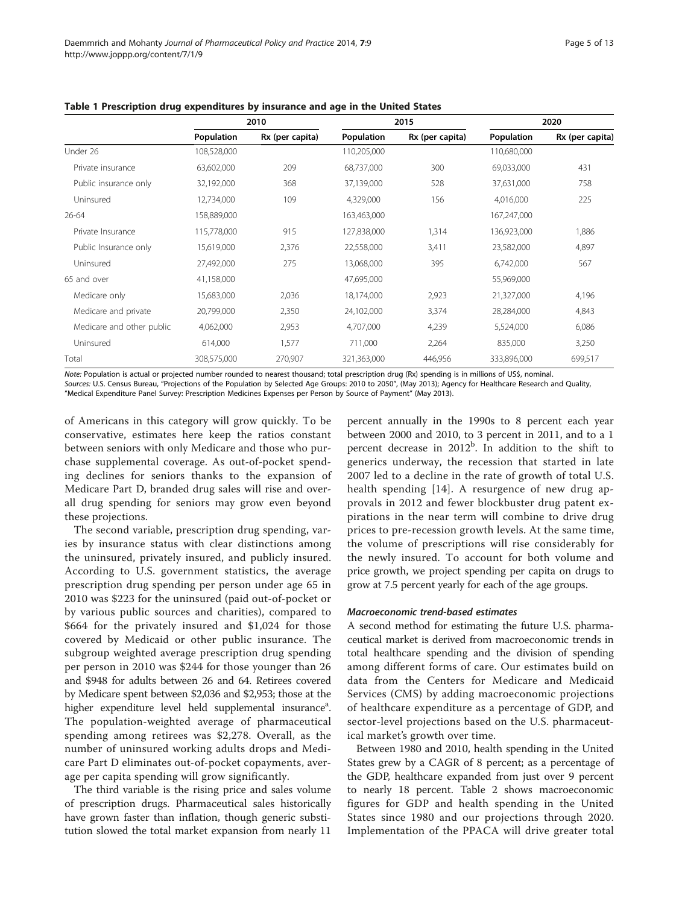|                           |             | 2010            | 2015        |                 | 2020        |                 |
|---------------------------|-------------|-----------------|-------------|-----------------|-------------|-----------------|
|                           | Population  | Rx (per capita) | Population  | Rx (per capita) | Population  | Rx (per capita) |
| Under 26                  | 108,528,000 |                 | 110,205,000 |                 | 110,680,000 |                 |
| Private insurance         | 63,602,000  | 209             | 68,737,000  | 300             | 69,033,000  | 431             |
| Public insurance only     | 32,192,000  | 368             | 37,139,000  | 528             | 37,631,000  | 758             |
| Uninsured                 | 12,734,000  | 109             | 4,329,000   | 156             | 4,016,000   | 225             |
| 26-64                     | 158,889,000 |                 | 163,463,000 |                 | 167,247,000 |                 |
| Private Insurance         | 115,778,000 | 915             | 127,838,000 | 1,314           | 136,923,000 | 1,886           |
| Public Insurance only     | 15,619,000  | 2,376           | 22,558,000  | 3,411           | 23,582,000  | 4,897           |
| Uninsured                 | 27,492,000  | 275             | 13,068,000  | 395             | 6,742,000   | 567             |
| 65 and over               | 41,158,000  |                 | 47,695,000  |                 | 55,969,000  |                 |
| Medicare only             | 15,683,000  | 2,036           | 18,174,000  | 2,923           | 21,327,000  | 4,196           |
| Medicare and private      | 20,799,000  | 2,350           | 24,102,000  | 3,374           | 28,284,000  | 4,843           |
| Medicare and other public | 4,062,000   | 2,953           | 4,707,000   | 4,239           | 5,524,000   | 6,086           |
| Uninsured                 | 614,000     | 1,577           | 711,000     | 2,264           | 835,000     | 3,250           |
| Total                     | 308,575,000 | 270,907         | 321,363,000 | 446,956         | 333,896,000 | 699,517         |

<span id="page-4-0"></span>Table 1 Prescription drug expenditures by insurance and age in the United States

Note: Population is actual or projected number rounded to nearest thousand; total prescription drug (Rx) spending is in millions of US\$, nominal. Sources: U.S. Census Bureau, "Projections of the Population by Selected Age Groups: 2010 to 2050", (May 2013); Agency for Healthcare Research and Quality, "Medical Expenditure Panel Survey: Prescription Medicines Expenses per Person by Source of Payment" (May 2013).

of Americans in this category will grow quickly. To be conservative, estimates here keep the ratios constant between seniors with only Medicare and those who purchase supplemental coverage. As out-of-pocket spending declines for seniors thanks to the expansion of Medicare Part D, branded drug sales will rise and overall drug spending for seniors may grow even beyond these projections.

The second variable, prescription drug spending, varies by insurance status with clear distinctions among the uninsured, privately insured, and publicly insured. According to U.S. government statistics, the average prescription drug spending per person under age 65 in 2010 was \$223 for the uninsured (paid out-of-pocket or by various public sources and charities), compared to \$664 for the privately insured and \$1,024 for those covered by Medicaid or other public insurance. The subgroup weighted average prescription drug spending per person in 2010 was \$244 for those younger than 26 and \$948 for adults between 26 and 64. Retirees covered by Medicare spent between \$2,036 and \$2,953; those at the higher expenditure level held supplemental insurance<sup>a</sup>. The population-weighted average of pharmaceutical spending among retirees was \$2,278. Overall, as the number of uninsured working adults drops and Medicare Part D eliminates out-of-pocket copayments, average per capita spending will grow significantly.

The third variable is the rising price and sales volume of prescription drugs. Pharmaceutical sales historically have grown faster than inflation, though generic substitution slowed the total market expansion from nearly 11

percent annually in the 1990s to 8 percent each year between 2000 and 2010, to 3 percent in 2011, and to a 1 percent decrease in 2012<sup>b</sup>. In addition to the shift to generics underway, the recession that started in late 2007 led to a decline in the rate of growth of total U.S. health spending [[14](#page-12-0)]. A resurgence of new drug approvals in 2012 and fewer blockbuster drug patent expirations in the near term will combine to drive drug prices to pre-recession growth levels. At the same time, the volume of prescriptions will rise considerably for the newly insured. To account for both volume and price growth, we project spending per capita on drugs to grow at 7.5 percent yearly for each of the age groups.

#### Macroeconomic trend-based estimates

A second method for estimating the future U.S. pharmaceutical market is derived from macroeconomic trends in total healthcare spending and the division of spending among different forms of care. Our estimates build on data from the Centers for Medicare and Medicaid Services (CMS) by adding macroeconomic projections of healthcare expenditure as a percentage of GDP, and sector-level projections based on the U.S. pharmaceutical market's growth over time.

Between 1980 and 2010, health spending in the United States grew by a CAGR of 8 percent; as a percentage of the GDP, healthcare expanded from just over 9 percent to nearly 18 percent. Table [2](#page-5-0) shows macroeconomic figures for GDP and health spending in the United States since 1980 and our projections through 2020. Implementation of the PPACA will drive greater total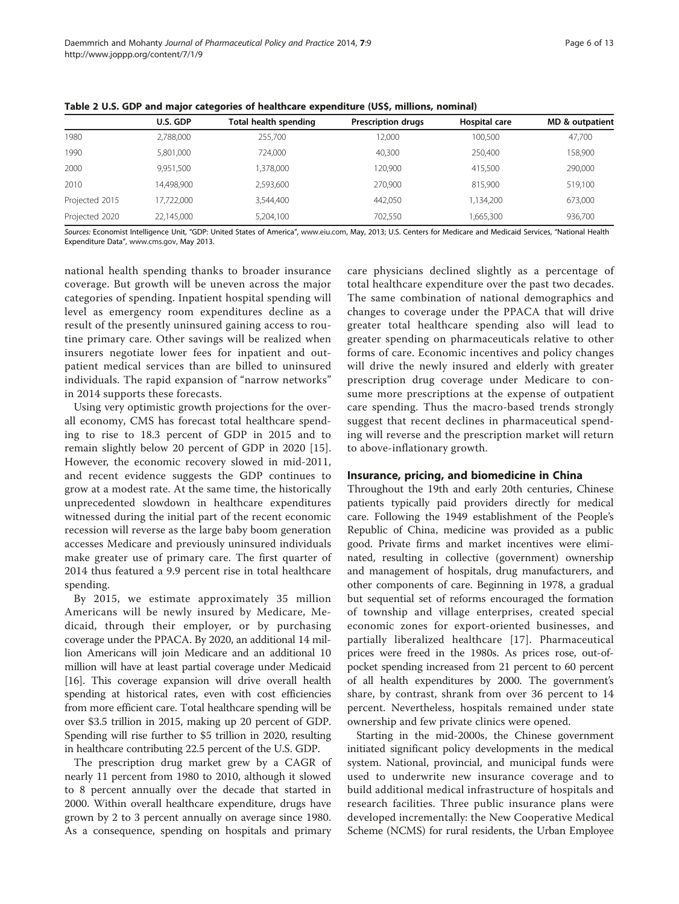|                | U.S. GDP   | Total health spending | <b>Prescription drugs</b> | <b>Hospital care</b> | MD & outpatient |
|----------------|------------|-----------------------|---------------------------|----------------------|-----------------|
| 1980           | 2,788,000  | 255,700               | 12.000                    | 100.500              | 47,700          |
| 1990           | 5,801,000  | 724,000               | 40,300                    | 250.400              | 158,900         |
| 2000           | 9.951.500  | ,378,000              | 20,900                    | 415.500              | 290,000         |
| 2010           | 14,498,900 | 2,593,600             | 270,900                   | 815,900              | 519,100         |
| Projected 2015 | 17,722,000 | 3,544,400             | 442.050                   | 1,134,200            | 673,000         |
| Projected 2020 | 22,145,000 | 5,204,100             | 702.550                   | 1.665.300            | 936.700         |

<span id="page-5-0"></span>Table 2 U.S. GDP and major categories of healthcare expenditure (US\$, millions, nominal)

Sources: Economist Intelligence Unit, "GDP: United States of America", [www.eiu.com,](http://www.eiu.com) May, 2013; U.S. Centers for Medicare and Medicaid Services, "National Health Expenditure Data", [www.cms.gov,](http://www.cms.gov) May 2013.

national health spending thanks to broader insurance coverage. But growth will be uneven across the major categories of spending. Inpatient hospital spending will level as emergency room expenditures decline as a result of the presently uninsured gaining access to routine primary care. Other savings will be realized when insurers negotiate lower fees for inpatient and outpatient medical services than are billed to uninsured individuals. The rapid expansion of "narrow networks" in 2014 supports these forecasts.

Using very optimistic growth projections for the overall economy, CMS has forecast total healthcare spending to rise to 18.3 percent of GDP in 2015 and to remain slightly below 20 percent of GDP in 2020 [[15](#page-12-0)]. However, the economic recovery slowed in mid-2011, and recent evidence suggests the GDP continues to grow at a modest rate. At the same time, the historically unprecedented slowdown in healthcare expenditures witnessed during the initial part of the recent economic recession will reverse as the large baby boom generation accesses Medicare and previously uninsured individuals make greater use of primary care. The first quarter of 2014 thus featured a 9.9 percent rise in total healthcare spending.

By 2015, we estimate approximately 35 million Americans will be newly insured by Medicare, Medicaid, through their employer, or by purchasing coverage under the PPACA. By 2020, an additional 14 million Americans will join Medicare and an additional 10 million will have at least partial coverage under Medicaid [[16](#page-12-0)]. This coverage expansion will drive overall health spending at historical rates, even with cost efficiencies from more efficient care. Total healthcare spending will be over \$3.5 trillion in 2015, making up 20 percent of GDP. Spending will rise further to \$5 trillion in 2020, resulting in healthcare contributing 22.5 percent of the U.S. GDP.

The prescription drug market grew by a CAGR of nearly 11 percent from 1980 to 2010, although it slowed to 8 percent annually over the decade that started in 2000. Within overall healthcare expenditure, drugs have grown by 2 to 3 percent annually on average since 1980. As a consequence, spending on hospitals and primary

care physicians declined slightly as a percentage of total healthcare expenditure over the past two decades. The same combination of national demographics and changes to coverage under the PPACA that will drive greater total healthcare spending also will lead to greater spending on pharmaceuticals relative to other forms of care. Economic incentives and policy changes will drive the newly insured and elderly with greater prescription drug coverage under Medicare to consume more prescriptions at the expense of outpatient care spending. Thus the macro-based trends strongly suggest that recent declines in pharmaceutical spending will reverse and the prescription market will return to above-inflationary growth.

#### Insurance, pricing, and biomedicine in China

Throughout the 19th and early 20th centuries, Chinese patients typically paid providers directly for medical care. Following the 1949 establishment of the People's Republic of China, medicine was provided as a public good. Private firms and market incentives were eliminated, resulting in collective (government) ownership and management of hospitals, drug manufacturers, and other components of care. Beginning in 1978, a gradual but sequential set of reforms encouraged the formation of township and village enterprises, created special economic zones for export-oriented businesses, and partially liberalized healthcare [[17\]](#page-12-0). Pharmaceutical prices were freed in the 1980s. As prices rose, out-ofpocket spending increased from 21 percent to 60 percent of all health expenditures by 2000. The government's share, by contrast, shrank from over 36 percent to 14 percent. Nevertheless, hospitals remained under state ownership and few private clinics were opened.

Starting in the mid-2000s, the Chinese government initiated significant policy developments in the medical system. National, provincial, and municipal funds were used to underwrite new insurance coverage and to build additional medical infrastructure of hospitals and research facilities. Three public insurance plans were developed incrementally: the New Cooperative Medical Scheme (NCMS) for rural residents, the Urban Employee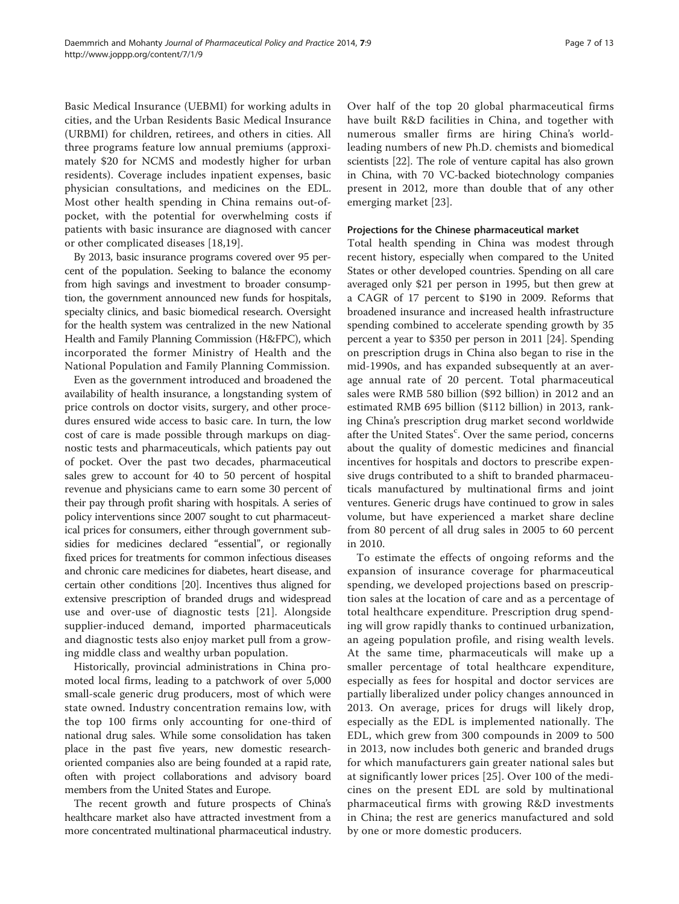Basic Medical Insurance (UEBMI) for working adults in cities, and the Urban Residents Basic Medical Insurance (URBMI) for children, retirees, and others in cities. All three programs feature low annual premiums (approximately \$20 for NCMS and modestly higher for urban residents). Coverage includes inpatient expenses, basic physician consultations, and medicines on the EDL. Most other health spending in China remains out-ofpocket, with the potential for overwhelming costs if patients with basic insurance are diagnosed with cancer or other complicated diseases [[18,19\]](#page-12-0).

By 2013, basic insurance programs covered over 95 percent of the population. Seeking to balance the economy from high savings and investment to broader consumption, the government announced new funds for hospitals, specialty clinics, and basic biomedical research. Oversight for the health system was centralized in the new National Health and Family Planning Commission (H&FPC), which incorporated the former Ministry of Health and the National Population and Family Planning Commission.

Even as the government introduced and broadened the availability of health insurance, a longstanding system of price controls on doctor visits, surgery, and other procedures ensured wide access to basic care. In turn, the low cost of care is made possible through markups on diagnostic tests and pharmaceuticals, which patients pay out of pocket. Over the past two decades, pharmaceutical sales grew to account for 40 to 50 percent of hospital revenue and physicians came to earn some 30 percent of their pay through profit sharing with hospitals. A series of policy interventions since 2007 sought to cut pharmaceutical prices for consumers, either through government subsidies for medicines declared "essential", or regionally fixed prices for treatments for common infectious diseases and chronic care medicines for diabetes, heart disease, and certain other conditions [\[20\]](#page-12-0). Incentives thus aligned for extensive prescription of branded drugs and widespread use and over-use of diagnostic tests [[21\]](#page-12-0). Alongside supplier-induced demand, imported pharmaceuticals and diagnostic tests also enjoy market pull from a growing middle class and wealthy urban population.

Historically, provincial administrations in China promoted local firms, leading to a patchwork of over 5,000 small-scale generic drug producers, most of which were state owned. Industry concentration remains low, with the top 100 firms only accounting for one-third of national drug sales. While some consolidation has taken place in the past five years, new domestic researchoriented companies also are being founded at a rapid rate, often with project collaborations and advisory board members from the United States and Europe.

The recent growth and future prospects of China's healthcare market also have attracted investment from a more concentrated multinational pharmaceutical industry.

Over half of the top 20 global pharmaceutical firms have built R&D facilities in China, and together with numerous smaller firms are hiring China's worldleading numbers of new Ph.D. chemists and biomedical scientists [\[22\]](#page-12-0). The role of venture capital has also grown in China, with 70 VC-backed biotechnology companies present in 2012, more than double that of any other emerging market [\[23](#page-12-0)].

#### Projections for the Chinese pharmaceutical market

Total health spending in China was modest through recent history, especially when compared to the United States or other developed countries. Spending on all care averaged only \$21 per person in 1995, but then grew at a CAGR of 17 percent to \$190 in 2009. Reforms that broadened insurance and increased health infrastructure spending combined to accelerate spending growth by 35 percent a year to \$350 per person in 2011 [[24](#page-12-0)]. Spending on prescription drugs in China also began to rise in the mid-1990s, and has expanded subsequently at an average annual rate of 20 percent. Total pharmaceutical sales were RMB 580 billion (\$92 billion) in 2012 and an estimated RMB 695 billion (\$112 billion) in 2013, ranking China's prescription drug market second worldwide after the United States<sup>c</sup>. Over the same period, concerns about the quality of domestic medicines and financial incentives for hospitals and doctors to prescribe expensive drugs contributed to a shift to branded pharmaceuticals manufactured by multinational firms and joint ventures. Generic drugs have continued to grow in sales volume, but have experienced a market share decline from 80 percent of all drug sales in 2005 to 60 percent in 2010.

To estimate the effects of ongoing reforms and the expansion of insurance coverage for pharmaceutical spending, we developed projections based on prescription sales at the location of care and as a percentage of total healthcare expenditure. Prescription drug spending will grow rapidly thanks to continued urbanization, an ageing population profile, and rising wealth levels. At the same time, pharmaceuticals will make up a smaller percentage of total healthcare expenditure, especially as fees for hospital and doctor services are partially liberalized under policy changes announced in 2013. On average, prices for drugs will likely drop, especially as the EDL is implemented nationally. The EDL, which grew from 300 compounds in 2009 to 500 in 2013, now includes both generic and branded drugs for which manufacturers gain greater national sales but at significantly lower prices [[25\]](#page-12-0). Over 100 of the medicines on the present EDL are sold by multinational pharmaceutical firms with growing R&D investments in China; the rest are generics manufactured and sold by one or more domestic producers.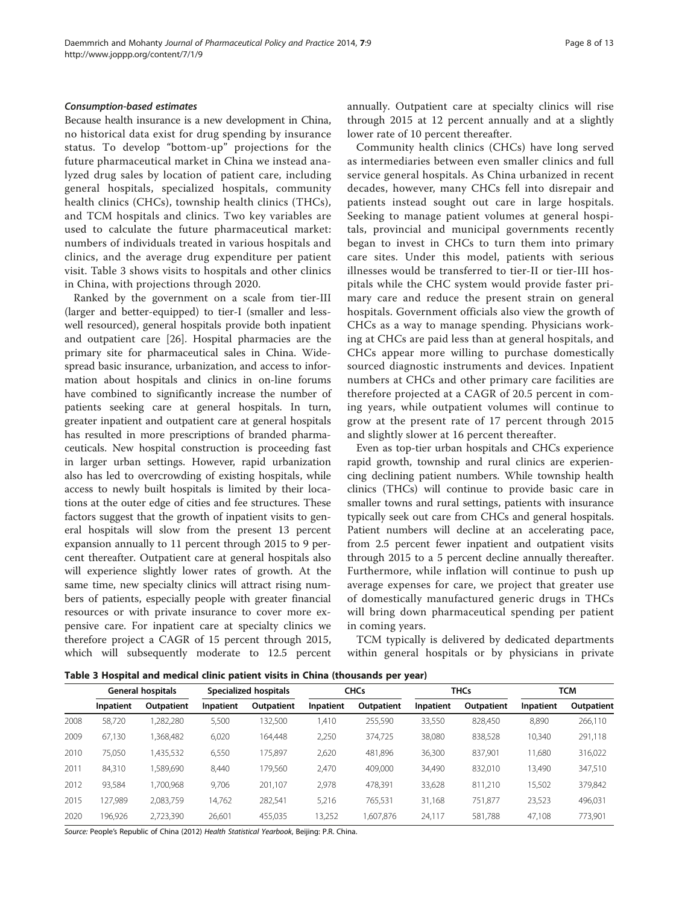### Consumption-based estimates

Because health insurance is a new development in China, no historical data exist for drug spending by insurance status. To develop "bottom-up" projections for the future pharmaceutical market in China we instead analyzed drug sales by location of patient care, including general hospitals, specialized hospitals, community health clinics (CHCs), township health clinics (THCs), and TCM hospitals and clinics. Two key variables are used to calculate the future pharmaceutical market: numbers of individuals treated in various hospitals and clinics, and the average drug expenditure per patient visit. Table 3 shows visits to hospitals and other clinics in China, with projections through 2020.

Ranked by the government on a scale from tier-III (larger and better-equipped) to tier-I (smaller and lesswell resourced), general hospitals provide both inpatient and outpatient care [[26\]](#page-12-0). Hospital pharmacies are the primary site for pharmaceutical sales in China. Widespread basic insurance, urbanization, and access to information about hospitals and clinics in on-line forums have combined to significantly increase the number of patients seeking care at general hospitals. In turn, greater inpatient and outpatient care at general hospitals has resulted in more prescriptions of branded pharmaceuticals. New hospital construction is proceeding fast in larger urban settings. However, rapid urbanization also has led to overcrowding of existing hospitals, while access to newly built hospitals is limited by their locations at the outer edge of cities and fee structures. These factors suggest that the growth of inpatient visits to general hospitals will slow from the present 13 percent expansion annually to 11 percent through 2015 to 9 percent thereafter. Outpatient care at general hospitals also will experience slightly lower rates of growth. At the same time, new specialty clinics will attract rising numbers of patients, especially people with greater financial resources or with private insurance to cover more expensive care. For inpatient care at specialty clinics we therefore project a CAGR of 15 percent through 2015, which will subsequently moderate to 12.5 percent

annually. Outpatient care at specialty clinics will rise through 2015 at 12 percent annually and at a slightly lower rate of 10 percent thereafter.

Community health clinics (CHCs) have long served as intermediaries between even smaller clinics and full service general hospitals. As China urbanized in recent decades, however, many CHCs fell into disrepair and patients instead sought out care in large hospitals. Seeking to manage patient volumes at general hospitals, provincial and municipal governments recently began to invest in CHCs to turn them into primary care sites. Under this model, patients with serious illnesses would be transferred to tier-II or tier-III hospitals while the CHC system would provide faster primary care and reduce the present strain on general hospitals. Government officials also view the growth of CHCs as a way to manage spending. Physicians working at CHCs are paid less than at general hospitals, and CHCs appear more willing to purchase domestically sourced diagnostic instruments and devices. Inpatient numbers at CHCs and other primary care facilities are therefore projected at a CAGR of 20.5 percent in coming years, while outpatient volumes will continue to grow at the present rate of 17 percent through 2015 and slightly slower at 16 percent thereafter.

Even as top-tier urban hospitals and CHCs experience rapid growth, township and rural clinics are experiencing declining patient numbers. While township health clinics (THCs) will continue to provide basic care in smaller towns and rural settings, patients with insurance typically seek out care from CHCs and general hospitals. Patient numbers will decline at an accelerating pace, from 2.5 percent fewer inpatient and outpatient visits through 2015 to a 5 percent decline annually thereafter. Furthermore, while inflation will continue to push up average expenses for care, we project that greater use of domestically manufactured generic drugs in THCs will bring down pharmaceutical spending per patient in coming years.

TCM typically is delivered by dedicated departments within general hospitals or by physicians in private

Table 3 Hospital and medical clinic patient visits in China (thousands per year)

|      | <b>General hospitals</b> |                   | Specialized hospitals |            | <b>CHCs</b> |            | <b>THCs</b> |                   | <b>TCM</b> |            |
|------|--------------------------|-------------------|-----------------------|------------|-------------|------------|-------------|-------------------|------------|------------|
|      | Inpatient                | <b>Outpatient</b> | Inpatient             | Outpatient | Inpatient   | Outpatient | Inpatient   | <b>Outpatient</b> | Inpatient  | Outpatient |
| 2008 | 58,720                   | ,282,280          | 5,500                 | 132,500    | 1,410       | 255,590    | 33,550      | 828,450           | 8,890      | 266,110    |
| 2009 | 67,130                   | 368,482           | 6,020                 | 164,448    | 2,250       | 374,725    | 38,080      | 838,528           | 10.340     | 291,118    |
| 2010 | 75.050                   | 435,532           | 6,550                 | 175,897    | 2,620       | 481,896    | 36,300      | 837,901           | 11,680     | 316,022    |
| 2011 | 84,310                   | 589,690           | 8,440                 | 179,560    | 2,470       | 409,000    | 34,490      | 832,010           | 13,490     | 347,510    |
| 2012 | 93,584                   | ,700,968          | 9,706                 | 201,107    | 2,978       | 478,391    | 33,628      | 811,210           | 15,502     | 379,842    |
| 2015 | 127,989                  | 2,083,759         | 14,762                | 282,541    | 5,216       | 765,531    | 31,168      | 751,877           | 23,523     | 496,031    |
| 2020 | 196.926                  | 2,723,390         | 26.601                | 455,035    | 13,252      | 607,876    | 24,117      | 581,788           | 47,108     | 773,901    |

Source: People's Republic of China (2012) Health Statistical Yearbook, Beijing: P.R. China.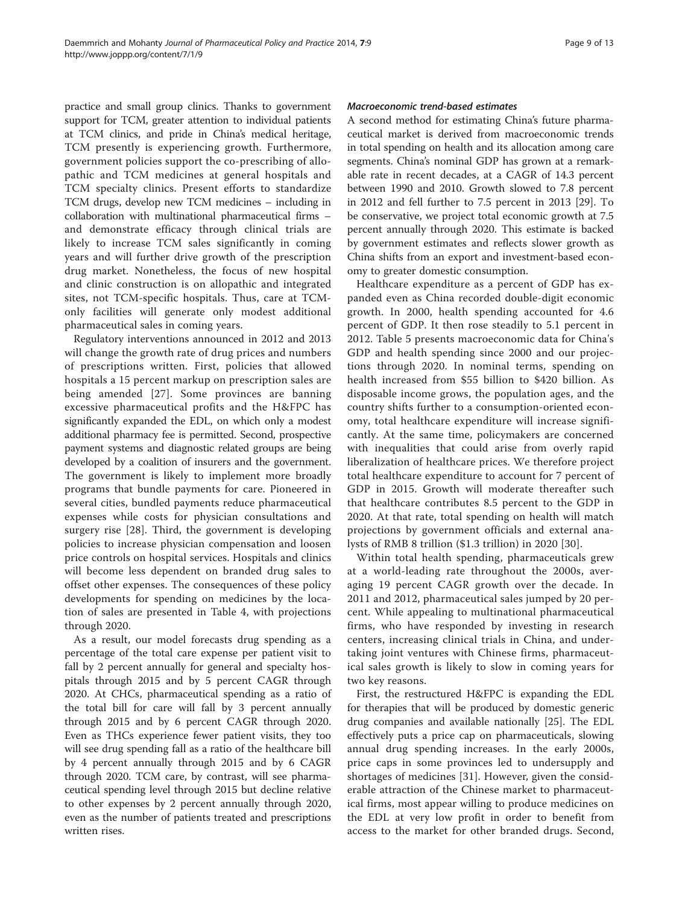practice and small group clinics. Thanks to government support for TCM, greater attention to individual patients at TCM clinics, and pride in China's medical heritage, TCM presently is experiencing growth. Furthermore, government policies support the co-prescribing of allopathic and TCM medicines at general hospitals and TCM specialty clinics. Present efforts to standardize TCM drugs, develop new TCM medicines – including in collaboration with multinational pharmaceutical firms – and demonstrate efficacy through clinical trials are likely to increase TCM sales significantly in coming years and will further drive growth of the prescription drug market. Nonetheless, the focus of new hospital and clinic construction is on allopathic and integrated sites, not TCM-specific hospitals. Thus, care at TCMonly facilities will generate only modest additional pharmaceutical sales in coming years.

Regulatory interventions announced in 2012 and 2013 will change the growth rate of drug prices and numbers of prescriptions written. First, policies that allowed hospitals a 15 percent markup on prescription sales are being amended [[27\]](#page-12-0). Some provinces are banning excessive pharmaceutical profits and the H&FPC has significantly expanded the EDL, on which only a modest additional pharmacy fee is permitted. Second, prospective payment systems and diagnostic related groups are being developed by a coalition of insurers and the government. The government is likely to implement more broadly programs that bundle payments for care. Pioneered in several cities, bundled payments reduce pharmaceutical expenses while costs for physician consultations and surgery rise [[28\]](#page-12-0). Third, the government is developing policies to increase physician compensation and loosen price controls on hospital services. Hospitals and clinics will become less dependent on branded drug sales to offset other expenses. The consequences of these policy developments for spending on medicines by the location of sales are presented in Table [4](#page-9-0), with projections through 2020.

As a result, our model forecasts drug spending as a percentage of the total care expense per patient visit to fall by 2 percent annually for general and specialty hospitals through 2015 and by 5 percent CAGR through 2020. At CHCs, pharmaceutical spending as a ratio of the total bill for care will fall by 3 percent annually through 2015 and by 6 percent CAGR through 2020. Even as THCs experience fewer patient visits, they too will see drug spending fall as a ratio of the healthcare bill by 4 percent annually through 2015 and by 6 CAGR through 2020. TCM care, by contrast, will see pharmaceutical spending level through 2015 but decline relative to other expenses by 2 percent annually through 2020, even as the number of patients treated and prescriptions written rises.

### Macroeconomic trend-based estimates

A second method for estimating China's future pharmaceutical market is derived from macroeconomic trends in total spending on health and its allocation among care segments. China's nominal GDP has grown at a remarkable rate in recent decades, at a CAGR of 14.3 percent between 1990 and 2010. Growth slowed to 7.8 percent in 2012 and fell further to 7.5 percent in 2013 [[29\]](#page-12-0). To be conservative, we project total economic growth at 7.5 percent annually through 2020. This estimate is backed by government estimates and reflects slower growth as China shifts from an export and investment-based economy to greater domestic consumption.

Healthcare expenditure as a percent of GDP has expanded even as China recorded double-digit economic growth. In 2000, health spending accounted for 4.6 percent of GDP. It then rose steadily to 5.1 percent in 2012. Table [5](#page-9-0) presents macroeconomic data for China's GDP and health spending since 2000 and our projections through 2020. In nominal terms, spending on health increased from \$55 billion to \$420 billion. As disposable income grows, the population ages, and the country shifts further to a consumption-oriented economy, total healthcare expenditure will increase significantly. At the same time, policymakers are concerned with inequalities that could arise from overly rapid liberalization of healthcare prices. We therefore project total healthcare expenditure to account for 7 percent of GDP in 2015. Growth will moderate thereafter such that healthcare contributes 8.5 percent to the GDP in 2020. At that rate, total spending on health will match projections by government officials and external analysts of RMB 8 trillion (\$1.3 trillion) in 2020 [\[30\]](#page-12-0).

Within total health spending, pharmaceuticals grew at a world-leading rate throughout the 2000s, averaging 19 percent CAGR growth over the decade. In 2011 and 2012, pharmaceutical sales jumped by 20 percent. While appealing to multinational pharmaceutical firms, who have responded by investing in research centers, increasing clinical trials in China, and undertaking joint ventures with Chinese firms, pharmaceutical sales growth is likely to slow in coming years for two key reasons.

First, the restructured H&FPC is expanding the EDL for therapies that will be produced by domestic generic drug companies and available nationally [[25\]](#page-12-0). The EDL effectively puts a price cap on pharmaceuticals, slowing annual drug spending increases. In the early 2000s, price caps in some provinces led to undersupply and shortages of medicines [\[31](#page-12-0)]. However, given the considerable attraction of the Chinese market to pharmaceutical firms, most appear willing to produce medicines on the EDL at very low profit in order to benefit from access to the market for other branded drugs. Second,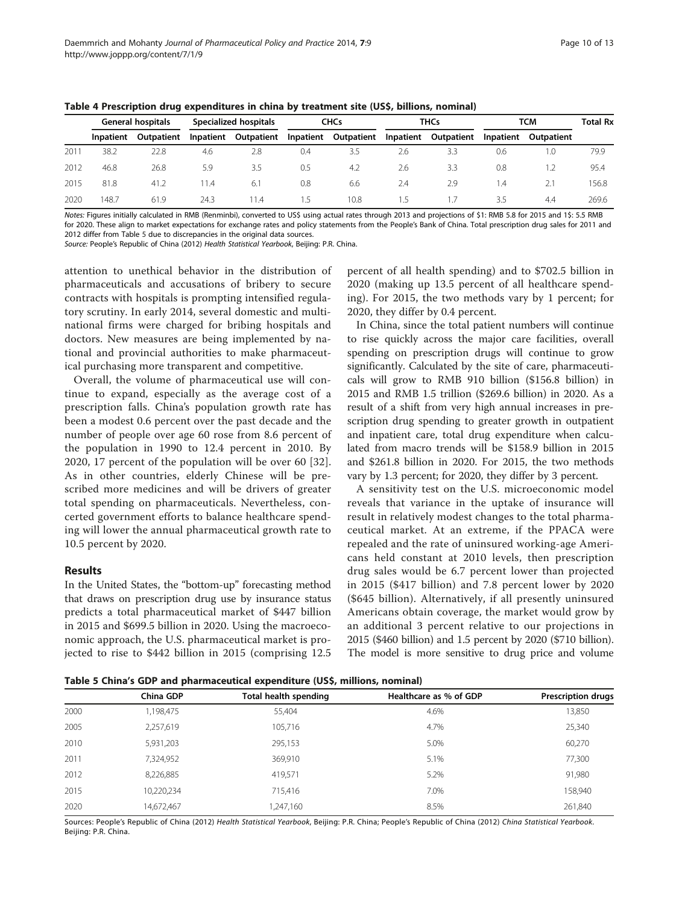|      | <b>General hospitals</b> |            | Specialized hospitals |            | <b>CHCs</b> |            | <b>THCs</b> |            | ТСМ       |            | <b>Total Rx</b> |
|------|--------------------------|------------|-----------------------|------------|-------------|------------|-------------|------------|-----------|------------|-----------------|
|      | Inpatient                | Outpatient | Inpatient             | Outpatient | Inpatient   | Outpatient | Inpatient   | Outpatient | Inpatient | Outpatient |                 |
| 2011 | 38.2                     | 22.8       | 4.6                   | 2.8        | 0.4         | 3.5        | 2.6         | 3.3        | 0.6       | 1.0        | 79.9            |
| 2012 | 46.8                     | 26.8       | 5.9                   | 3.5        | 0.5         | 4.2        | 2.6         | 3.3        | 0.8       | 1.2        | 95.4            |
| 2015 | 81.8                     | 41.2       | 11.4                  | 6.1        | 0.8         | 6.6        | 2.4         | 2.9        | 1.4       |            | 156.8           |
| 2020 | 148.7                    | 61.9       | 24.3                  | 11.4       | -1.5        | 10.8       | L5          |            | 3.5       | 4.4        | 269.6           |

<span id="page-9-0"></span>Table 4 Prescription drug expenditures in china by treatment site (US\$, billions, nominal)

Notes: Figures initially calculated in RMB (Renminbi), converted to US\$ using actual rates through 2013 and projections of \$1: RMB 5.8 for 2015 and 1\$: 5.5 RMB for 2020. These align to market expectations for exchange rates and policy statements from the People's Bank of China. Total prescription drug sales for 2011 and 2012 differ from Table 5 due to discrepancies in the original data sources

Source: People's Republic of China (2012) Health Statistical Yearbook, Beijing: P.R. China.

attention to unethical behavior in the distribution of pharmaceuticals and accusations of bribery to secure contracts with hospitals is prompting intensified regulatory scrutiny. In early 2014, several domestic and multinational firms were charged for bribing hospitals and doctors. New measures are being implemented by national and provincial authorities to make pharmaceutical purchasing more transparent and competitive.

Overall, the volume of pharmaceutical use will continue to expand, especially as the average cost of a prescription falls. China's population growth rate has been a modest 0.6 percent over the past decade and the number of people over age 60 rose from 8.6 percent of the population in 1990 to 12.4 percent in 2010. By 2020, 17 percent of the population will be over 60 [[32](#page-12-0)]. As in other countries, elderly Chinese will be prescribed more medicines and will be drivers of greater total spending on pharmaceuticals. Nevertheless, concerted government efforts to balance healthcare spending will lower the annual pharmaceutical growth rate to 10.5 percent by 2020.

#### **Results**

In the United States, the "bottom-up" forecasting method that draws on prescription drug use by insurance status predicts a total pharmaceutical market of \$447 billion in 2015 and \$699.5 billion in 2020. Using the macroeconomic approach, the U.S. pharmaceutical market is projected to rise to \$442 billion in 2015 (comprising 12.5 percent of all health spending) and to \$702.5 billion in 2020 (making up 13.5 percent of all healthcare spending). For 2015, the two methods vary by 1 percent; for 2020, they differ by 0.4 percent.

In China, since the total patient numbers will continue to rise quickly across the major care facilities, overall spending on prescription drugs will continue to grow significantly. Calculated by the site of care, pharmaceuticals will grow to RMB 910 billion (\$156.8 billion) in 2015 and RMB 1.5 trillion (\$269.6 billion) in 2020. As a result of a shift from very high annual increases in prescription drug spending to greater growth in outpatient and inpatient care, total drug expenditure when calculated from macro trends will be \$158.9 billion in 2015 and \$261.8 billion in 2020. For 2015, the two methods vary by 1.3 percent; for 2020, they differ by 3 percent.

A sensitivity test on the U.S. microeconomic model reveals that variance in the uptake of insurance will result in relatively modest changes to the total pharmaceutical market. At an extreme, if the PPACA were repealed and the rate of uninsured working-age Americans held constant at 2010 levels, then prescription drug sales would be 6.7 percent lower than projected in 2015 (\$417 billion) and 7.8 percent lower by 2020 (\$645 billion). Alternatively, if all presently uninsured Americans obtain coverage, the market would grow by an additional 3 percent relative to our projections in 2015 (\$460 billion) and 1.5 percent by 2020 (\$710 billion). The model is more sensitive to drug price and volume

Table 5 China's GDP and pharmaceutical expenditure (US\$, millions, nominal)

|      | China GDP  | <b>Total health spending</b> | Healthcare as % of GDP | <b>Prescription drugs</b> |
|------|------------|------------------------------|------------------------|---------------------------|
| 2000 | 1,198,475  | 55,404                       | 4.6%                   | 13,850                    |
| 2005 | 2,257,619  | 105,716                      | 4.7%                   | 25,340                    |
| 2010 | 5,931,203  | 295,153                      | 5.0%                   | 60,270                    |
| 2011 | 7,324,952  | 369,910                      | 5.1%                   | 77,300                    |
| 2012 | 8,226,885  | 419,571                      | 5.2%                   | 91,980                    |
| 2015 | 10,220,234 | 715,416                      | 7.0%                   | 158,940                   |
| 2020 | 14,672,467 | 1,247,160                    | 8.5%                   | 261,840                   |
|      |            |                              |                        |                           |

Sources: People's Republic of China (2012) Health Statistical Yearbook, Beijing: P.R. China; People's Republic of China (2012) China Statistical Yearbook. Beijing: P.R. China.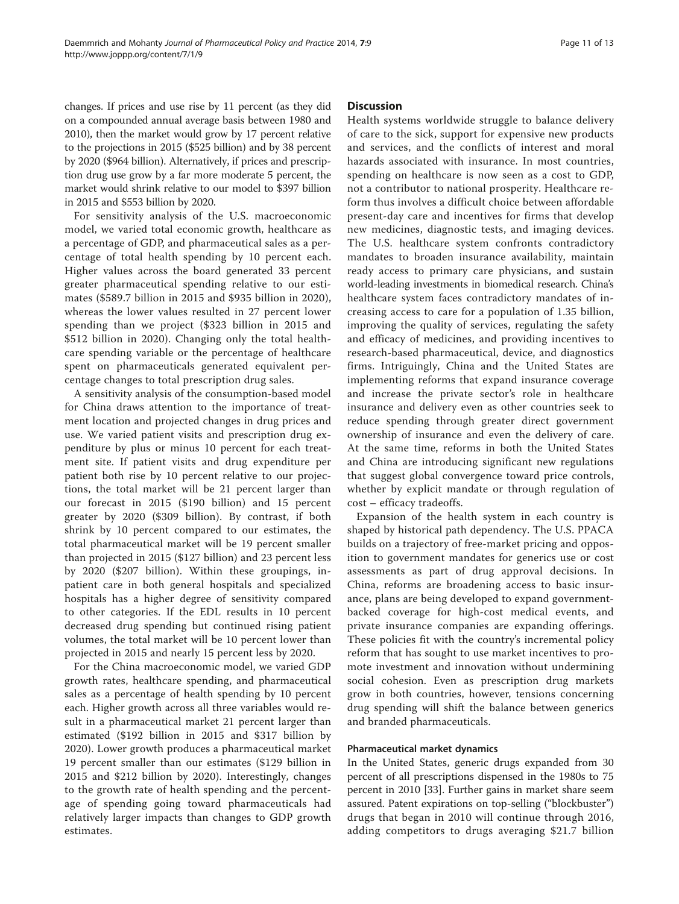changes. If prices and use rise by 11 percent (as they did on a compounded annual average basis between 1980 and 2010), then the market would grow by 17 percent relative to the projections in 2015 (\$525 billion) and by 38 percent by 2020 (\$964 billion). Alternatively, if prices and prescription drug use grow by a far more moderate 5 percent, the market would shrink relative to our model to \$397 billion in 2015 and \$553 billion by 2020.

For sensitivity analysis of the U.S. macroeconomic model, we varied total economic growth, healthcare as a percentage of GDP, and pharmaceutical sales as a percentage of total health spending by 10 percent each. Higher values across the board generated 33 percent greater pharmaceutical spending relative to our estimates (\$589.7 billion in 2015 and \$935 billion in 2020), whereas the lower values resulted in 27 percent lower spending than we project (\$323 billion in 2015 and \$512 billion in 2020). Changing only the total healthcare spending variable or the percentage of healthcare spent on pharmaceuticals generated equivalent percentage changes to total prescription drug sales.

A sensitivity analysis of the consumption-based model for China draws attention to the importance of treatment location and projected changes in drug prices and use. We varied patient visits and prescription drug expenditure by plus or minus 10 percent for each treatment site. If patient visits and drug expenditure per patient both rise by 10 percent relative to our projections, the total market will be 21 percent larger than our forecast in 2015 (\$190 billion) and 15 percent greater by 2020 (\$309 billion). By contrast, if both shrink by 10 percent compared to our estimates, the total pharmaceutical market will be 19 percent smaller than projected in 2015 (\$127 billion) and 23 percent less by 2020 (\$207 billion). Within these groupings, inpatient care in both general hospitals and specialized hospitals has a higher degree of sensitivity compared to other categories. If the EDL results in 10 percent decreased drug spending but continued rising patient volumes, the total market will be 10 percent lower than projected in 2015 and nearly 15 percent less by 2020.

For the China macroeconomic model, we varied GDP growth rates, healthcare spending, and pharmaceutical sales as a percentage of health spending by 10 percent each. Higher growth across all three variables would result in a pharmaceutical market 21 percent larger than estimated (\$192 billion in 2015 and \$317 billion by 2020). Lower growth produces a pharmaceutical market 19 percent smaller than our estimates (\$129 billion in 2015 and \$212 billion by 2020). Interestingly, changes to the growth rate of health spending and the percentage of spending going toward pharmaceuticals had relatively larger impacts than changes to GDP growth estimates.

# **Discussion**

Health systems worldwide struggle to balance delivery of care to the sick, support for expensive new products and services, and the conflicts of interest and moral hazards associated with insurance. In most countries, spending on healthcare is now seen as a cost to GDP, not a contributor to national prosperity. Healthcare reform thus involves a difficult choice between affordable present-day care and incentives for firms that develop new medicines, diagnostic tests, and imaging devices. The U.S. healthcare system confronts contradictory mandates to broaden insurance availability, maintain ready access to primary care physicians, and sustain world-leading investments in biomedical research. China's healthcare system faces contradictory mandates of increasing access to care for a population of 1.35 billion, improving the quality of services, regulating the safety and efficacy of medicines, and providing incentives to research-based pharmaceutical, device, and diagnostics firms. Intriguingly, China and the United States are implementing reforms that expand insurance coverage and increase the private sector's role in healthcare insurance and delivery even as other countries seek to reduce spending through greater direct government ownership of insurance and even the delivery of care. At the same time, reforms in both the United States and China are introducing significant new regulations that suggest global convergence toward price controls, whether by explicit mandate or through regulation of cost – efficacy tradeoffs.

Expansion of the health system in each country is shaped by historical path dependency. The U.S. PPACA builds on a trajectory of free-market pricing and opposition to government mandates for generics use or cost assessments as part of drug approval decisions. In China, reforms are broadening access to basic insurance, plans are being developed to expand governmentbacked coverage for high-cost medical events, and private insurance companies are expanding offerings. These policies fit with the country's incremental policy reform that has sought to use market incentives to promote investment and innovation without undermining social cohesion. Even as prescription drug markets grow in both countries, however, tensions concerning drug spending will shift the balance between generics and branded pharmaceuticals.

#### Pharmaceutical market dynamics

In the United States, generic drugs expanded from 30 percent of all prescriptions dispensed in the 1980s to 75 percent in 2010 [\[33\]](#page-12-0). Further gains in market share seem assured. Patent expirations on top-selling ("blockbuster") drugs that began in 2010 will continue through 2016, adding competitors to drugs averaging \$21.7 billion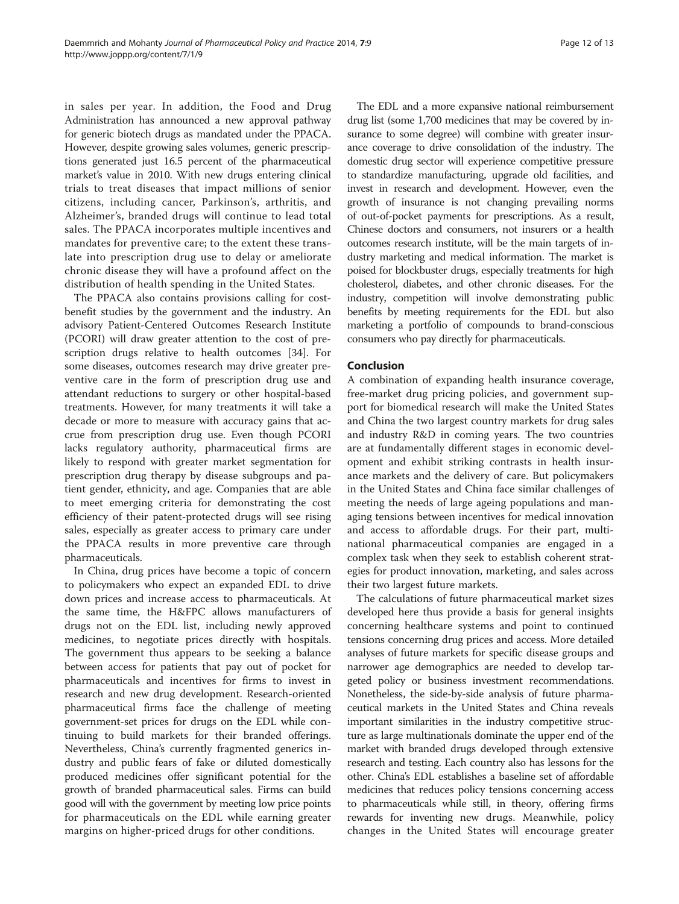in sales per year. In addition, the Food and Drug Administration has announced a new approval pathway for generic biotech drugs as mandated under the PPACA. However, despite growing sales volumes, generic prescriptions generated just 16.5 percent of the pharmaceutical market's value in 2010. With new drugs entering clinical trials to treat diseases that impact millions of senior citizens, including cancer, Parkinson's, arthritis, and Alzheimer's, branded drugs will continue to lead total sales. The PPACA incorporates multiple incentives and mandates for preventive care; to the extent these translate into prescription drug use to delay or ameliorate chronic disease they will have a profound affect on the distribution of health spending in the United States.

The PPACA also contains provisions calling for costbenefit studies by the government and the industry. An advisory Patient-Centered Outcomes Research Institute (PCORI) will draw greater attention to the cost of prescription drugs relative to health outcomes [[34\]](#page-12-0). For some diseases, outcomes research may drive greater preventive care in the form of prescription drug use and attendant reductions to surgery or other hospital-based treatments. However, for many treatments it will take a decade or more to measure with accuracy gains that accrue from prescription drug use. Even though PCORI lacks regulatory authority, pharmaceutical firms are likely to respond with greater market segmentation for prescription drug therapy by disease subgroups and patient gender, ethnicity, and age. Companies that are able to meet emerging criteria for demonstrating the cost efficiency of their patent-protected drugs will see rising sales, especially as greater access to primary care under the PPACA results in more preventive care through pharmaceuticals.

In China, drug prices have become a topic of concern to policymakers who expect an expanded EDL to drive down prices and increase access to pharmaceuticals. At the same time, the H&FPC allows manufacturers of drugs not on the EDL list, including newly approved medicines, to negotiate prices directly with hospitals. The government thus appears to be seeking a balance between access for patients that pay out of pocket for pharmaceuticals and incentives for firms to invest in research and new drug development. Research-oriented pharmaceutical firms face the challenge of meeting government-set prices for drugs on the EDL while continuing to build markets for their branded offerings. Nevertheless, China's currently fragmented generics industry and public fears of fake or diluted domestically produced medicines offer significant potential for the growth of branded pharmaceutical sales. Firms can build good will with the government by meeting low price points for pharmaceuticals on the EDL while earning greater margins on higher-priced drugs for other conditions.

The EDL and a more expansive national reimbursement drug list (some 1,700 medicines that may be covered by insurance to some degree) will combine with greater insurance coverage to drive consolidation of the industry. The domestic drug sector will experience competitive pressure to standardize manufacturing, upgrade old facilities, and invest in research and development. However, even the growth of insurance is not changing prevailing norms of out-of-pocket payments for prescriptions. As a result, Chinese doctors and consumers, not insurers or a health outcomes research institute, will be the main targets of industry marketing and medical information. The market is poised for blockbuster drugs, especially treatments for high cholesterol, diabetes, and other chronic diseases. For the industry, competition will involve demonstrating public benefits by meeting requirements for the EDL but also marketing a portfolio of compounds to brand-conscious consumers who pay directly for pharmaceuticals.

# Conclusion

A combination of expanding health insurance coverage, free-market drug pricing policies, and government support for biomedical research will make the United States and China the two largest country markets for drug sales and industry R&D in coming years. The two countries are at fundamentally different stages in economic development and exhibit striking contrasts in health insurance markets and the delivery of care. But policymakers in the United States and China face similar challenges of meeting the needs of large ageing populations and managing tensions between incentives for medical innovation and access to affordable drugs. For their part, multinational pharmaceutical companies are engaged in a complex task when they seek to establish coherent strategies for product innovation, marketing, and sales across their two largest future markets.

The calculations of future pharmaceutical market sizes developed here thus provide a basis for general insights concerning healthcare systems and point to continued tensions concerning drug prices and access. More detailed analyses of future markets for specific disease groups and narrower age demographics are needed to develop targeted policy or business investment recommendations. Nonetheless, the side-by-side analysis of future pharmaceutical markets in the United States and China reveals important similarities in the industry competitive structure as large multinationals dominate the upper end of the market with branded drugs developed through extensive research and testing. Each country also has lessons for the other. China's EDL establishes a baseline set of affordable medicines that reduces policy tensions concerning access to pharmaceuticals while still, in theory, offering firms rewards for inventing new drugs. Meanwhile, policy changes in the United States will encourage greater